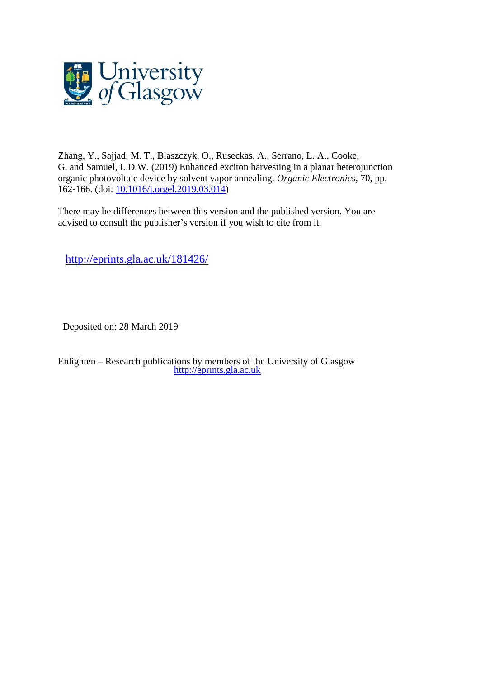

Zhang, Y., Sajjad, M. T., Blaszczyk, O., Ruseckas, A., Serrano, L. A., Cooke, G. and Samuel, I. D.W. (2019) Enhanced exciton harvesting in a planar heterojunction organic photovoltaic device by solvent vapor annealing. *Organic Electronics*, 70, pp. 162-166. (doi: [10.1016/j.orgel.2019.03.014\)](http://dx.doi.org/10.1016/j.orgel.2019.03.014)

There may be differences between this version and the published version. You are advised to consult the publisher's version if you wish to cite from it.

<http://eprints.gla.ac.uk/181426/>

Deposited on: 28 March 2019

Enlighten – Research publications by members of the University of Glasgow [http://eprints.gla.ac.uk](http://eprints.gla.ac.uk/)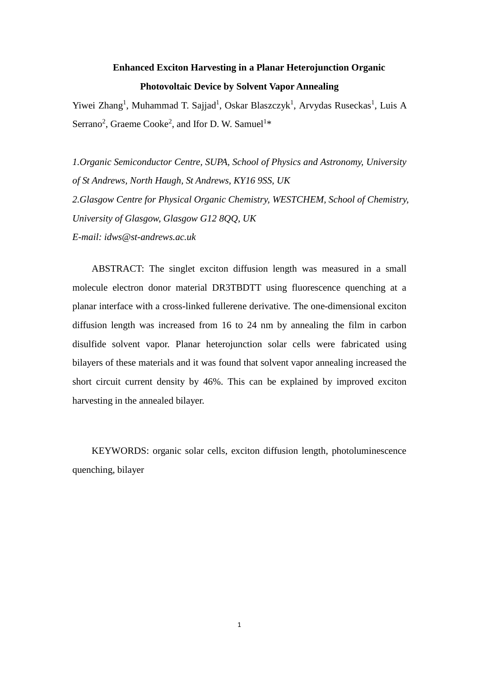# **Enhanced Exciton Harvesting in a Planar Heterojunction Organic Photovoltaic Device by Solvent Vapor Annealing**

Yiwei Zhang<sup>1</sup>, Muhammad T. Sajjad<sup>1</sup>, Oskar Blaszczyk<sup>1</sup>, Arvydas Ruseckas<sup>1</sup>, Luis A Serrano<sup>2</sup>, Graeme Cooke<sup>2</sup>, and Ifor D. W. Samuel<sup>1\*</sup>

*1.Organic Semiconductor Centre, SUPA, School of Physics and Astronomy, University of St Andrews, North Haugh, St Andrews, KY16 9SS, UK 2.Glasgow Centre for Physical Organic Chemistry, WESTCHEM, School of Chemistry, University of Glasgow, Glasgow G12 8QQ, UK E-mail: idws@st-andrews.ac.uk*

ABSTRACT: The singlet exciton diffusion length was measured in a small molecule electron donor material DR3TBDTT using fluorescence quenching at a planar interface with a cross-linked fullerene derivative. The one-dimensional exciton diffusion length was increased from 16 to 24 nm by annealing the film in carbon disulfide solvent vapor. Planar heterojunction solar cells were fabricated using bilayers of these materials and it was found that solvent vapor annealing increased the short circuit current density by 46%. This can be explained by improved exciton harvesting in the annealed bilayer.

KEYWORDS: organic solar cells, exciton diffusion length, photoluminescence quenching, bilayer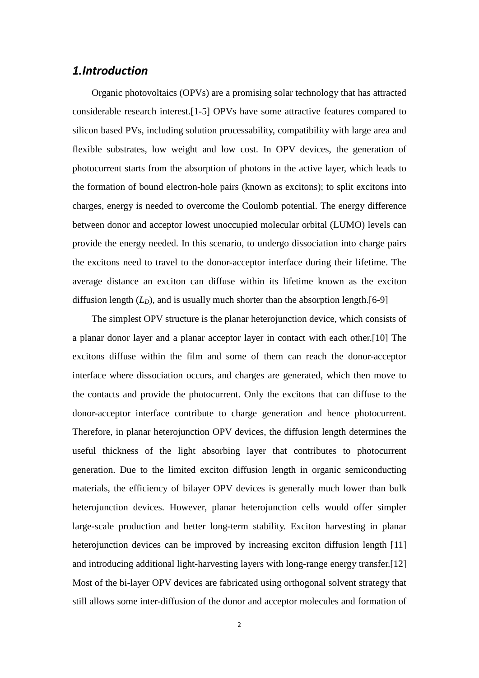#### *1.Introduction*

Organic photovoltaics (OPVs) are a promising solar technology that has attracted considerable research interest.[\[1-5\]](#page-12-0) OPVs have some attractive features compared to silicon based PVs, including solution processability, compatibility with large area and flexible substrates, low weight and low cost. In OPV devices, the generation of photocurrent starts from the absorption of photons in the active layer, which leads to the formation of bound electron-hole pairs (known as excitons); to split excitons into charges, energy is needed to overcome the Coulomb potential. The energy difference between donor and acceptor lowest unoccupied molecular orbital (LUMO) levels can provide the energy needed. In this scenario, to undergo dissociation into charge pairs the excitons need to travel to the donor-acceptor interface during their lifetime. The average distance an exciton can diffuse within its lifetime known as the exciton diffusion length  $(L_D)$ , and is usually much shorter than the absorption length.[\[6-9\]](#page-12-1)

The simplest OPV structure is the planar heterojunction device, which consists of a planar donor layer and a planar acceptor layer in contact with each other.[\[10\]](#page-12-2) The excitons diffuse within the film and some of them can reach the donor-acceptor interface where dissociation occurs, and charges are generated, which then move to the contacts and provide the photocurrent. Only the excitons that can diffuse to the donor-acceptor interface contribute to charge generation and hence photocurrent. Therefore, in planar heterojunction OPV devices, the diffusion length determines the useful thickness of the light absorbing layer that contributes to photocurrent generation. Due to the limited exciton diffusion length in organic semiconducting materials, the efficiency of bilayer OPV devices is generally much lower than bulk heterojunction devices. However, planar heterojunction cells would offer simpler large-scale production and better long-term stability. Exciton harvesting in planar heterojunction devices can be improved by increasing exciton diffusion length [\[11\]](#page-12-3) and introducing additional light-harvesting layers with long-range energy transfer.[\[12\]](#page-12-4) Most of the bi-layer OPV devices are fabricated using orthogonal solvent strategy that still allows some inter-diffusion of the donor and acceptor molecules and formation of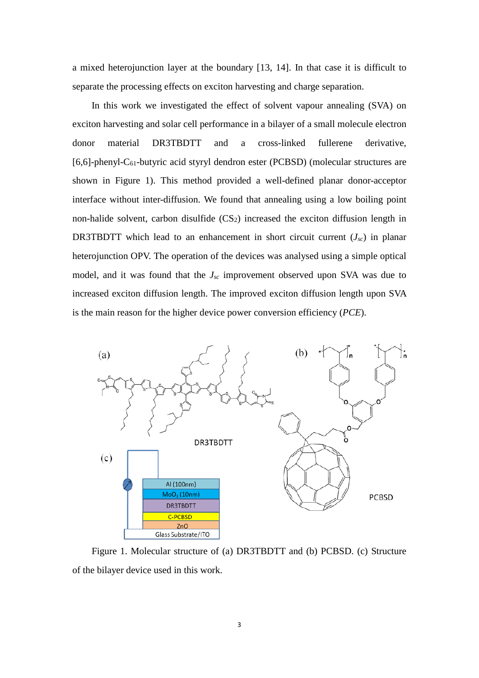a mixed heterojunction layer at the boundary [\[13,](#page-12-5) [14\]](#page-12-6). In that case it is difficult to separate the processing effects on exciton harvesting and charge separation.

In this work we investigated the effect of solvent vapour annealing (SVA) on exciton harvesting and solar cell performance in a bilayer of a small molecule electron donor material DR3TBDTT and a cross-linked fullerene derivative, [6,6]-phenyl-C61-butyric acid styryl dendron ester (PCBSD) (molecular structures are shown in Figure 1). This method provided a well-defined planar donor-acceptor interface without inter-diffusion. We found that annealing using a low boiling point non-halide solvent, carbon disulfide  $(CS_2)$  increased the exciton diffusion length in DR3TBDTT which lead to an enhancement in short circuit current  $(J_{sc})$  in planar heterojunction OPV. The operation of the devices was analysed using a simple optical model, and it was found that the *Jsc* improvement observed upon SVA was due to increased exciton diffusion length. The improved exciton diffusion length upon SVA is the main reason for the higher device power conversion efficiency (*PCE*).



Figure 1. Molecular structure of (a) DR3TBDTT and (b) PCBSD. (c) Structure of the bilayer device used in this work.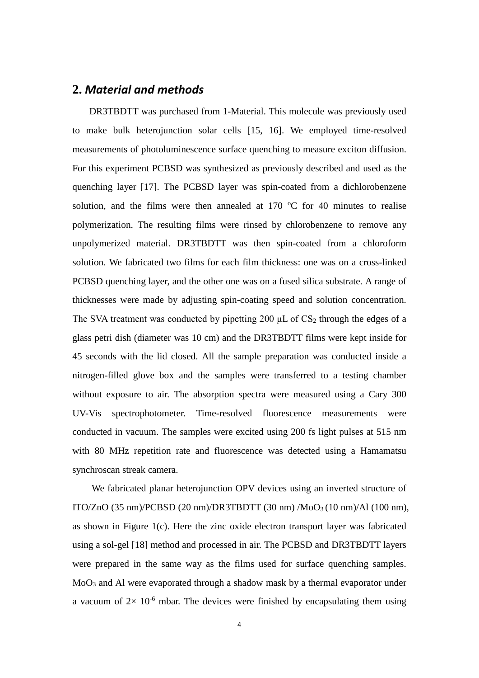#### **2.** *Material and methods*

DR3TBDTT was purchased from 1-Material. This molecule was previously used to make bulk heterojunction solar cells [\[15,](#page-12-7) [16\]](#page-12-8). We employed time-resolved measurements of photoluminescence surface quenching to measure exciton diffusion. For this experiment PCBSD was synthesized as previously described and used as the quenching layer [\[17\]](#page-13-0). The PCBSD layer was spin-coated from a dichlorobenzene solution, and the films were then annealed at  $170$  °C for 40 minutes to realise polymerization. The resulting films were rinsed by chlorobenzene to remove any unpolymerized material. DR3TBDTT was then spin-coated from a chloroform solution. We fabricated two films for each film thickness: one was on a cross-linked PCBSD quenching layer, and the other one was on a fused silica substrate. A range of thicknesses were made by adjusting spin-coating speed and solution concentration. The SVA treatment was conducted by pipetting 200  $\mu$ L of CS<sub>2</sub> through the edges of a glass petri dish (diameter was 10 cm) and the DR3TBDTT films were kept inside for 45 seconds with the lid closed. All the sample preparation was conducted inside a nitrogen-filled glove box and the samples were transferred to a testing chamber without exposure to air. The absorption spectra were measured using a Cary 300 UV-Vis spectrophotometer. Time-resolved fluorescence measurements were conducted in vacuum. The samples were excited using 200 fs light pulses at 515 nm with 80 MHz repetition rate and fluorescence was detected using a Hamamatsu synchroscan streak camera.

We fabricated planar heterojunction OPV devices using an inverted structure of ITO/ZnO  $(35 \text{ nm})$ /PCBSD  $(20 \text{ nm})$ /DR3TBDTT  $(30 \text{ nm})$ /MoO<sub>3</sub> $(10 \text{ nm})$ /Al  $(100 \text{ nm})$ , as shown in Figure  $1(c)$ . Here the zinc oxide electron transport layer was fabricated using a sol-gel [\[18\]](#page-13-1) method and processed in air. The PCBSD and DR3TBDTT layers were prepared in the same way as the films used for surface quenching samples. MoO3 and Al were evaporated through a shadow mask by a thermal evaporator under a vacuum of  $2 \times 10^{-6}$  mbar. The devices were finished by encapsulating them using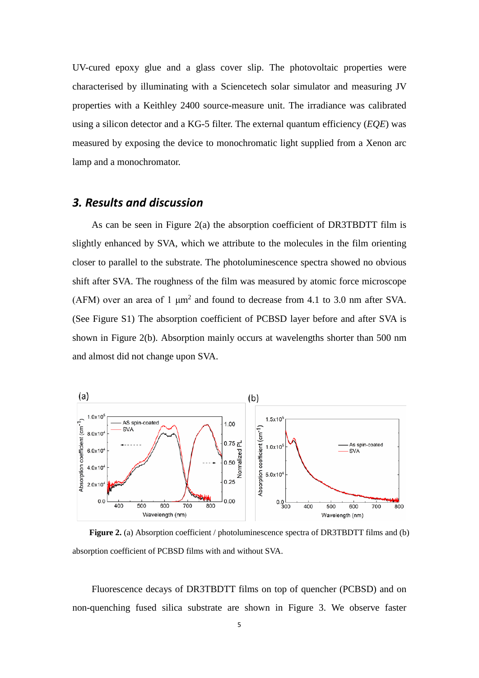UV-cured epoxy glue and a glass cover slip. The photovoltaic properties were characterised by illuminating with a Sciencetech solar simulator and measuring JV properties with a Keithley 2400 source-measure unit. The irradiance was calibrated using a silicon detector and a KG-5 filter. The external quantum efficiency (*EQE*) was measured by exposing the device to monochromatic light supplied from a Xenon arc lamp and a monochromator.

# *3. Results and discussion*

As can be seen in Figure 2(a) the absorption coefficient of DR3TBDTT film is slightly enhanced by SVA, which we attribute to the molecules in the film orienting closer to parallel to the substrate. The photoluminescence spectra showed no obvious shift after SVA. The roughness of the film was measured by atomic force microscope (AFM) over an area of 1  $\mu$ m<sup>2</sup> and found to decrease from 4.1 to 3.0 nm after SVA. (See Figure S1) The absorption coefficient of PCBSD layer before and after SVA is shown in Figure 2(b). Absorption mainly occurs at wavelengths shorter than 500 nm and almost did not change upon SVA.



**Figure 2.** (a) Absorption coefficient / photoluminescence spectra of DR3TBDTT films and (b) absorption coefficient of PCBSD films with and without SVA.

Fluorescence decays of DR3TBDTT films on top of quencher (PCBSD) and on non-quenching fused silica substrate are shown in Figure 3. We observe faster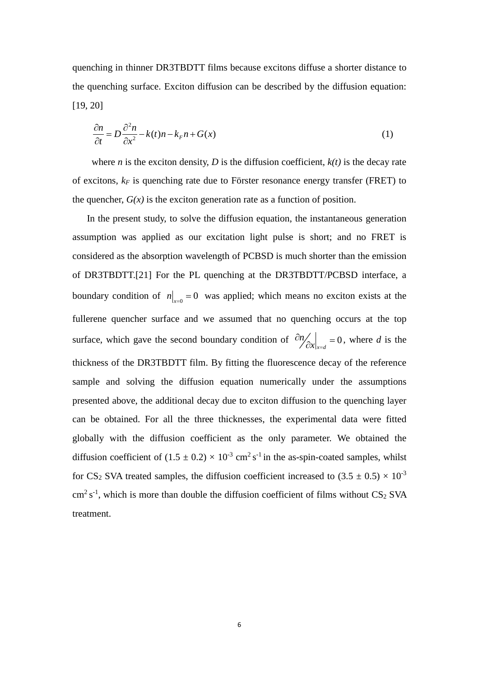quenching in thinner DR3TBDTT films because excitons diffuse a shorter distance to the quenching surface. Exciton diffusion can be described by the diffusion equation: [\[19,](#page-13-2) [20\]](#page-13-3)

$$
\frac{\partial n}{\partial t} = D \frac{\partial^2 n}{\partial x^2} - k(t)n - k_F n + G(x) \tag{1}
$$

where *n* is the exciton density, *D* is the diffusion coefficient,  $k(t)$  is the decay rate of excitons,  $k_F$  is quenching rate due to Förster resonance energy transfer (FRET) to the quencher,  $G(x)$  is the exciton generation rate as a function of position.

 In the present study, to solve the diffusion equation, the instantaneous generation assumption was applied as our excitation light pulse is short; and no FRET is considered as the absorption wavelength of PCBSD is much shorter than the emission of DR3TBDTT.[\[21\]](#page-13-4) For the PL quenching at the DR3TBDTT/PCBSD interface, a boundary condition of  $n|_{x=0} = 0$  was applied; which means no exciton exists at the fullerene quencher surface and we assumed that no quenching occurs at the top surface, which gave the second boundary condition of  $\partial N_{\alpha x} \Big|_{x=d} = 0$ *n*  $\frac{\partial n}{\partial x}\bigg|_{x=d} = 0$ , where *d* is the thickness of the DR3TBDTT film. By fitting the fluorescence decay of the reference sample and solving the diffusion equation numerically under the assumptions presented above, the additional decay due to exciton diffusion to the quenching layer can be obtained. For all the three thicknesses, the experimental data were fitted globally with the diffusion coefficient as the only parameter. We obtained the diffusion coefficient of  $(1.5 \pm 0.2) \times 10^{-3}$  cm<sup>2</sup> s<sup>-1</sup> in the as-spin-coated samples, whilst for CS<sub>2</sub> SVA treated samples, the diffusion coefficient increased to  $(3.5 \pm 0.5) \times 10^{-3}$  $\text{cm}^2 \text{ s}^{-1}$ , which is more than double the diffusion coefficient of films without CS<sub>2</sub> SVA treatment.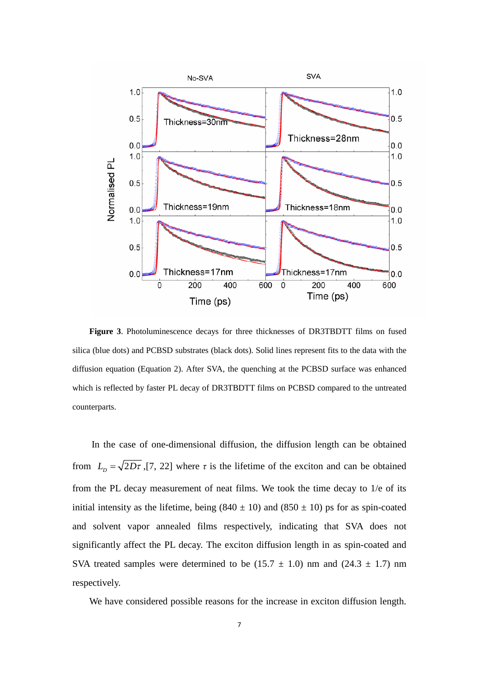

**Figure 3**. Photoluminescence decays for three thicknesses of DR3TBDTT films on fused silica (blue dots) and PCBSD substrates (black dots). Solid lines represent fits to the data with the diffusion equation (Equation 2). After SVA, the quenching at the PCBSD surface was enhanced which is reflected by faster PL decay of DR3TBDTT films on PCBSD compared to the untreated counterparts.

In the case of one-dimensional diffusion, the diffusion length can be obtained from  $L_p = \sqrt{2Dt}$ , [\[7,](#page-12-9) [22\]](#page-13-5) where  $\tau$  is the lifetime of the exciton and can be obtained from the PL decay measurement of neat films. We took the time decay to 1/e of its initial intensity as the lifetime, being  $(840 \pm 10)$  and  $(850 \pm 10)$  ps for as spin-coated and solvent vapor annealed films respectively, indicating that SVA does not significantly affect the PL decay. The exciton diffusion length in as spin-coated and SVA treated samples were determined to be  $(15.7 \pm 1.0)$  nm and  $(24.3 \pm 1.7)$  nm respectively.

We have considered possible reasons for the increase in exciton diffusion length.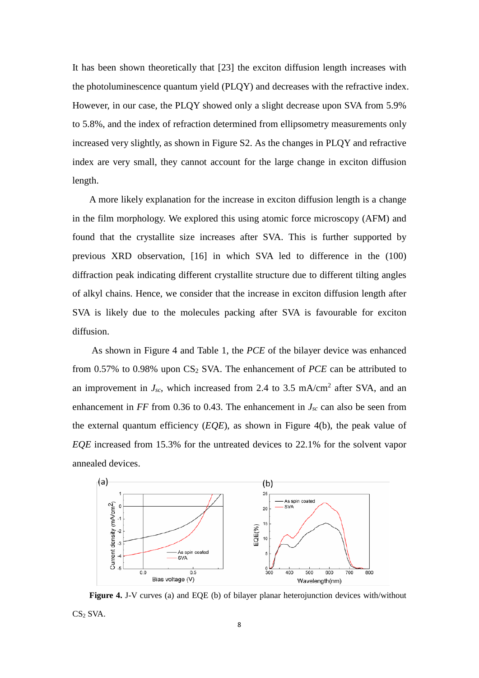It has been shown theoretically that [\[23\]](#page-13-6) the exciton diffusion length increases with the photoluminescence quantum yield (PLQY) and decreases with the refractive index. However, in our case, the PLQY showed only a slight decrease upon SVA from 5.9% to 5.8%, and the index of refraction determined from ellipsometry measurements only increased very slightly, as shown in Figure S2. As the changes in PLQY and refractive index are very small, they cannot account for the large change in exciton diffusion length.

A more likely explanation for the increase in exciton diffusion length is a change in the film morphology. We explored this using atomic force microscopy (AFM) and found that the crystallite size increases after SVA. This is further supported by previous XRD observation, [16] in which SVA led to difference in the (100) diffraction peak indicating different crystallite structure due to different tilting angles of alkyl chains. Hence, we consider that the increase in exciton diffusion length after SVA is likely due to the molecules packing after SVA is favourable for exciton diffusion.

As shown in Figure 4 and Table 1, the *PCE* of the bilayer device was enhanced from  $0.57\%$  to  $0.98\%$  upon CS<sub>2</sub> SVA. The enhancement of *PCE* can be attributed to an improvement in  $J_{sc}$ , which increased from 2.4 to 3.5 mA/cm<sup>2</sup> after SVA, and an enhancement in  $FF$  from 0.36 to 0.43. The enhancement in  $J_{sc}$  can also be seen from the external quantum efficiency (*EQE*), as shown in Figure 4(b), the peak value of *EQE* increased from 15.3% for the untreated devices to 22.1% for the solvent vapor annealed devices.



**Figure 4.** J-V curves (a) and EQE (b) of bilayer planar heterojunction devices with/without CS<sub>2</sub> SVA.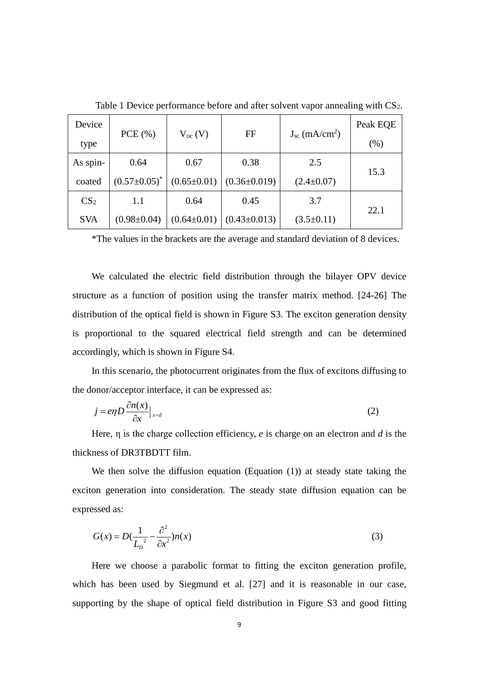| Device          |                     |                   | FF                 | $J_{sc}$ (mA/cm <sup>2</sup> ) | Peak EQE |
|-----------------|---------------------|-------------------|--------------------|--------------------------------|----------|
| type            | PCE(%)              | $V_{oc}$ (V)      |                    |                                | (%)      |
| As spin-        | 0.64                | 0.67              | 0.38               | 2.5                            |          |
| coated          | $(0.57 \pm 0.05)^*$ | $(0.65 \pm 0.01)$ | $(0.36 \pm 0.019)$ | $(2.4 \pm 0.07)$               | 15.3     |
| CS <sub>2</sub> | 1.1                 | 0.64              | 0.45               | 3.7                            |          |
| <b>SVA</b>      | $(0.98 \pm 0.04)$   | $(0.64 \pm 0.01)$ | $(0.43 \pm 0.013)$ | $(3.5 \pm 0.11)$               | 22.1     |

Table 1 Device performance before and after solvent vapor annealing with CS<sub>2</sub>.

\*The values in the brackets are the average and standard deviation of 8 devices.

We calculated the electric field distribution through the bilayer OPV device structure as a function of position using the transfer matrix method. [\[24-26\]](#page-13-7) The distribution of the optical field is shown in Figure S3. The exciton generation density is proportional to the squared electrical field strength and can be determined accordingly, which is shown in Figure S4.

In this scenario, the photocurrent originates from the flux of excitons diffusing to the donor/acceptor interface, it can be expressed as:

$$
j = e\eta D \frac{\partial n(x)}{\partial x} \Big|_{x=d} \tag{2}
$$

Here, η is the charge collection efficiency, *e* is charge on an electron and *d* is the thickness of DR3TBDTT film.

We then solve the diffusion equation (Equation (1)) at steady state taking the exciton generation into consideration. The steady state diffusion equation can be expressed as:

$$
G(x) = D\left(\frac{1}{L_D} - \frac{\partial^2}{\partial x^2}\right) n(x)
$$
\n(3)

Here we choose a parabolic format to fitting the exciton generation profile, which has been used by Siegmund et al. [\[27\]](#page-13-8) and it is reasonable in our case, supporting by the shape of optical field distribution in Figure S3 and good fitting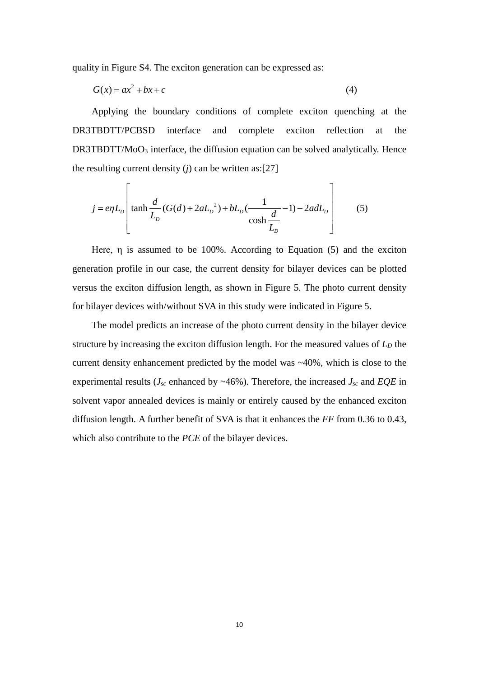quality in Figure S4. The exciton generation can be expressed as:

$$
G(x) = ax^2 + bx + c \tag{4}
$$

Applying the boundary conditions of complete exciton quenching at the DR3TBDTT/PCBSD interface and complete exciton reflection at the DR3TBDTT/MoO<sub>3</sub> interface, the diffusion equation can be solved analytically. Hence the resulting current density  $(j)$  can be written as:[\[27\]](#page-13-8)

$$
j = e\eta L_D \left[ \tanh \frac{d}{L_D} (G(d) + 2aL_D^2) + bL_D(\frac{1}{\cosh \frac{d}{L_D}} - 1) - 2adL_D \right] \tag{5}
$$

Here, η is assumed to be 100%. According to Equation (5) and the exciton generation profile in our case, the current density for bilayer devices can be plotted versus the exciton diffusion length, as shown in Figure 5. The photo current density for bilayer devices with/without SVA in this study were indicated in Figure 5.

The model predicts an increase of the photo current density in the bilayer device structure by increasing the exciton diffusion length. For the measured values of  $L<sub>D</sub>$  the current density enhancement predicted by the model was ~40%, which is close to the experimental results ( $J_{sc}$  enhanced by  $\sim$  46%). Therefore, the increased  $J_{sc}$  and *EQE* in solvent vapor annealed devices is mainly or entirely caused by the enhanced exciton diffusion length. A further benefit of SVA is that it enhances the *FF* from 0.36 to 0.43, which also contribute to the *PCE* of the bilayer devices.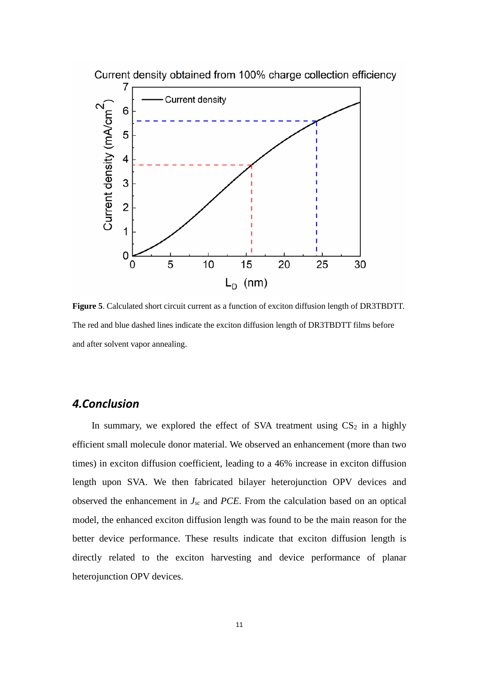

**Figure 5**. Calculated short circuit current as a function of exciton diffusion length of DR3TBDTT. The red and blue dashed lines indicate the exciton diffusion length of DR3TBDTT films before and after solvent vapor annealing.

# *4.Conclusion*

In summary, we explored the effect of SVA treatment using  $CS_2$  in a highly efficient small molecule donor material. We observed an enhancement (more than two times) in exciton diffusion coefficient, leading to a 46% increase in exciton diffusion length upon SVA. We then fabricated bilayer heterojunction OPV devices and observed the enhancement in *Jsc* and *PCE*. From the calculation based on an optical model, the enhanced exciton diffusion length was found to be the main reason for the better device performance. These results indicate that exciton diffusion length is directly related to the exciton harvesting and device performance of planar heterojunction OPV devices.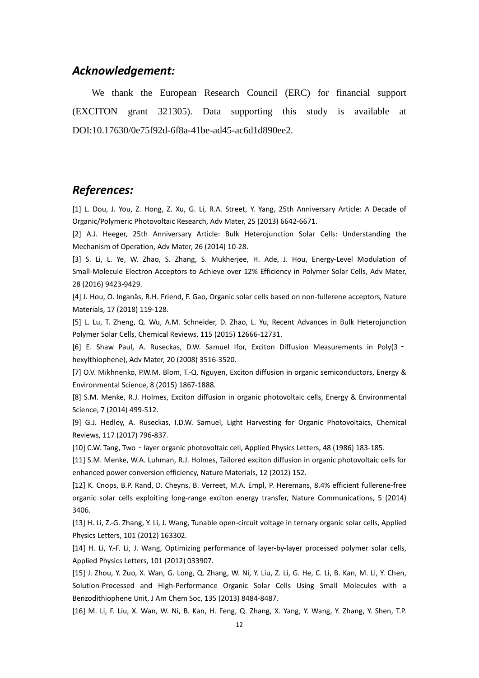### *Acknowledgement:*

We thank the European Research Council (ERC) for financial support (EXCITON grant 321305). Data supporting this study is available at DOI:10.17630/0e75f92d-6f8a-41be-ad45-ac6d1d890ee2.

# *References:*

<span id="page-12-0"></span>[1] L. Dou, J. You, Z. Hong, Z. Xu, G. Li, R.A. Street, Y. Yang, 25th Anniversary Article: A Decade of Organic/Polymeric Photovoltaic Research, Adv Mater, 25 (2013) 6642-6671.

[2] A.J. Heeger, 25th Anniversary Article: Bulk Heterojunction Solar Cells: Understanding the Mechanism of Operation, Adv Mater, 26 (2014) 10-28.

[3] S. Li, L. Ye, W. Zhao, S. Zhang, S. Mukherjee, H. Ade, J. Hou, Energy-Level Modulation of Small-Molecule Electron Acceptors to Achieve over 12% Efficiency in Polymer Solar Cells, Adv Mater, 28 (2016) 9423-9429.

[4] J. Hou, O. Inganäs, R.H. Friend, F. Gao, Organic solar cells based on non-fullerene acceptors, Nature Materials, 17 (2018) 119-128.

[5] L. Lu, T. Zheng, Q. Wu, A.M. Schneider, D. Zhao, L. Yu, Recent Advances in Bulk Heterojunction Polymer Solar Cells, Chemical Reviews, 115 (2015) 12666-12731.

<span id="page-12-1"></span>[6] E. Shaw Paul, A. Ruseckas, D.W. Samuel Ifor, Exciton Diffusion Measurements in Poly(3 hexylthiophene), Adv Mater, 20 (2008) 3516-3520.

<span id="page-12-9"></span>[7] O.V. Mikhnenko, P.W.M. Blom, T.-Q. Nguyen, Exciton diffusion in organic semiconductors, Energy & Environmental Science, 8 (2015) 1867-1888.

[8] S.M. Menke, R.J. Holmes, Exciton diffusion in organic photovoltaic cells, Energy & Environmental Science, 7 (2014) 499-512.

[9] G.J. Hedley, A. Ruseckas, I.D.W. Samuel, Light Harvesting for Organic Photovoltaics, Chemical Reviews, 117 (2017) 796-837.

<span id="page-12-2"></span>[10] C.W. Tang, Two - layer organic photovoltaic cell, Applied Physics Letters, 48 (1986) 183-185.

<span id="page-12-3"></span>[11] S.M. Menke, W.A. Luhman, R.J. Holmes, Tailored exciton diffusion in organic photovoltaic cells for enhanced power conversion efficiency, Nature Materials, 12 (2012) 152.

<span id="page-12-4"></span>[12] K. Cnops, B.P. Rand, D. Cheyns, B. Verreet, M.A. Empl, P. Heremans, 8.4% efficient fullerene-free organic solar cells exploiting long-range exciton energy transfer, Nature Communications, 5 (2014) 3406.

<span id="page-12-5"></span>[13] H. Li, Z.-G. Zhang, Y. Li, J. Wang, Tunable open-circuit voltage in ternary organic solar cells, Applied Physics Letters, 101 (2012) 163302.

<span id="page-12-6"></span>[14] H. Li, Y.-F. Li, J. Wang, Optimizing performance of layer-by-layer processed polymer solar cells, Applied Physics Letters, 101 (2012) 033907.

<span id="page-12-7"></span>[15] J. Zhou, Y. Zuo, X. Wan, G. Long, Q. Zhang, W. Ni, Y. Liu, Z. Li, G. He, C. Li, B. Kan, M. Li, Y. Chen, Solution-Processed and High-Performance Organic Solar Cells Using Small Molecules with a Benzodithiophene Unit, J Am Chem Soc, 135 (2013) 8484-8487.

<span id="page-12-8"></span>[16] M. Li, F. Liu, X. Wan, W. Ni, B. Kan, H. Feng, Q. Zhang, X. Yang, Y. Wang, Y. Zhang, Y. Shen, T.P.